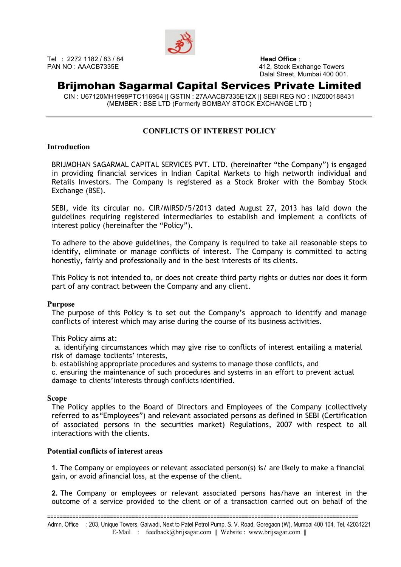

Tel : 2272 1182 / 83 / 84 **Head Office** :

PAN NO : AAACB7335E 412, Stock Exchange Towers Dalal Street, Mumbai 400 001.

## Brijmohan Sagarmal Capital Services Private Limited

CIN : U67120MH1998PTC116954 || GSTIN : 27AAACB7335E1ZX || SEBI REG NO : INZ000188431 (MEMBER : BSE LTD (Formerly BOMBAY STOCK EXCHANGE LTD )

### CONFLICTS OF INTEREST POLICY

### **Introduction**

BRIJMOHAN SAGARMAL CAPITAL SERVICES PVT. LTD. (hereinafter "the Company") is engaged in providing financial services in Indian Capital Markets to high networth individual and Retails Investors. The Company is registered as a Stock Broker with the Bombay Stock Exchange (BSE).

SEBI, vide its circular no. CIR/MIRSD/5/2013 dated August 27, 2013 has laid down the guidelines requiring registered intermediaries to establish and implement a conflicts of interest policy (hereinafter the "Policy").

To adhere to the above guidelines, the Company is required to take all reasonable steps to identify, eliminate or manage conflicts of interest. The Company is committed to acting honestly, fairly and professionally and in the best interests of its clients.

This Policy is not intended to, or does not create third party rights or duties nor does it form part of any contract between the Company and any client.

### Purpose

The purpose of this Policy is to set out the Company's approach to identify and manage conflicts of interest which may arise during the course of its business activities.

This Policy aims at:

a. identifying circumstances which may give rise to conflicts of interest entailing a material risk of damage toclients' interests,

b. establishing appropriate procedures and systems to manage those conflicts, and

c. ensuring the maintenance of such procedures and systems in an effort to prevent actual damage to clients' interests through conflicts identified.

### Scope

The Policy applies to the Board of Directors and Employees of the Company (collectively referred to as "Employees") and relevant associated persons as defined in SEBI (Certification of associated persons in the securities market) Regulations, 2007 with respect to all interactions with the clients.

### Potential conflicts of interest areas

1. The Company or employees or relevant associated person(s) is/ are likely to make a financial gain, or avoid a financial loss, at the expense of the client.

2. The Company or employees or relevant associated persons has/have an interest in the outcome of a service provided to the client or of a transaction carried out on behalf of the

===================================================================================================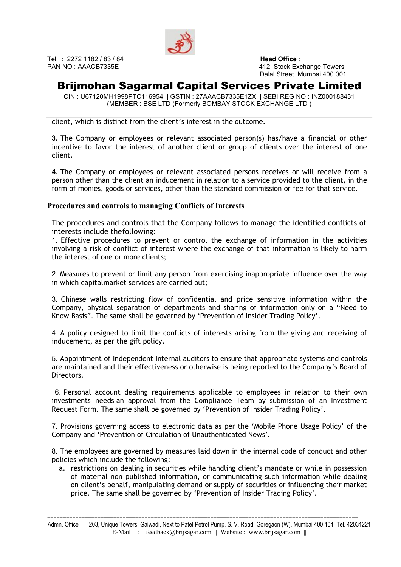

Tel : 2272 1182 / 83 / 84 **Head Office** :

PAN NO : AAACB7335E 412, Stock Exchange Towers Dalal Street, Mumbai 400 001.

# Brijmohan Sagarmal Capital Services Private Limited

CIN : U67120MH1998PTC116954 || GSTIN : 27AAACB7335E1ZX || SEBI REG NO : INZ000188431 (MEMBER : BSE LTD (Formerly BOMBAY STOCK EXCHANGE LTD )

client, which is distinct from the client's interest in the outcome.

3. The Company or employees or relevant associated person(s) has/have a financial or other incentive to favor the interest of another client or group of clients over the interest of one client.

4. The Company or employees or relevant associated persons receives or will receive from a person other than the client an inducement in relation to a service provided to the client, in the form of monies, goods or services, other than the standard commission or fee for that service.

### Procedures and controls to managing Conflicts of Interests

The procedures and controls that the Company follows to manage the identified conflicts of interests include the following:

1. Effective procedures to prevent or control the exchange of information in the activities involving a risk of conflict of interest where the exchange of that information is likely to harm the interest of one or more clients;

2. Measures to prevent or limit any person from exercising inappropriate influence over the way in which capital market services are carried out;

3. Chinese walls restricting flow of confidential and price sensitive information within the Company, physical separation of departments and sharing of information only on a "Need to Know Basis". The same shall be governed by 'Prevention of Insider Trading Policy'.

4. A policy designed to limit the conflicts of interests arising from the giving and receiving of inducement, as per the gift policy.

5. Appointment of Independent Internal auditors to ensure that appropriate systems and controls are maintained and their effectiveness or otherwise is being reported to the Company's Board of Directors.

6. Personal account dealing requirements applicable to employees in relation to their own investments needs an approval from the Compliance Team by submission of an Investment Request Form. The same shall be governed by 'Prevention of Insider Trading Policy'.

7. Provisions governing access to electronic data as per the 'Mobile Phone Usage Policy' of the Company and 'Prevention of Circulation of Unauthenticated News'.

8. The employees are governed by measures laid down in the internal code of conduct and other policies which include the following:

a. restrictions on dealing in securities while handling client's mandate or while in possession of material non published information, or communicating such information while dealing on client's behalf, manipulating demand or supply of securities or influencing their market price. The same shall be governed by 'Prevention of Insider Trading Policy'.